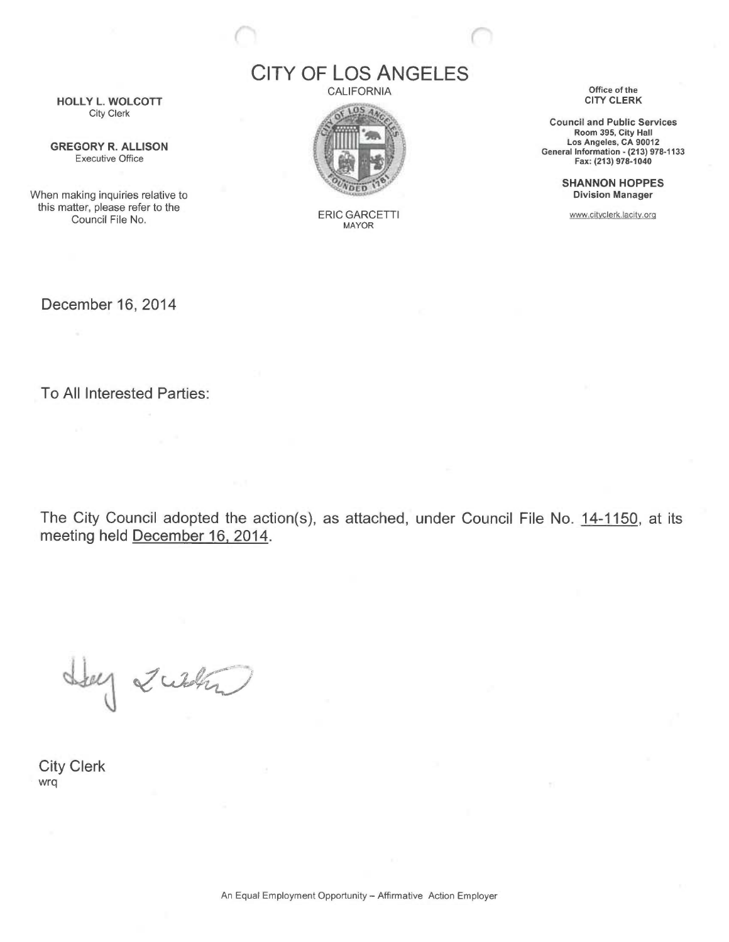HOLLY L. WOLCOTT City Clerk

GREGORY R. ALLISON Executive Office

When making inquiries relative to this matter, please refer to the Council File No.

CITY OF LOS ANGELES

**CALIFORNIA** 



ERIC GARCETTI MAYOR

Office of the CITY CLERK

Council and Public Services Room 395, City Hall Los Angeles, CA 90012 General Information - (213) 978-1133 Fax: (213) 978-1040

> SHANNON HOPPES Division Manager

www.cityclerk.lacity.orq

December 16, 2014

To All Interested Parties:

The City Council adopted the action(s), as attached, under Council File No. 14-1150, at its meeting held December 16, 2014.

they such

City Clerk wrq